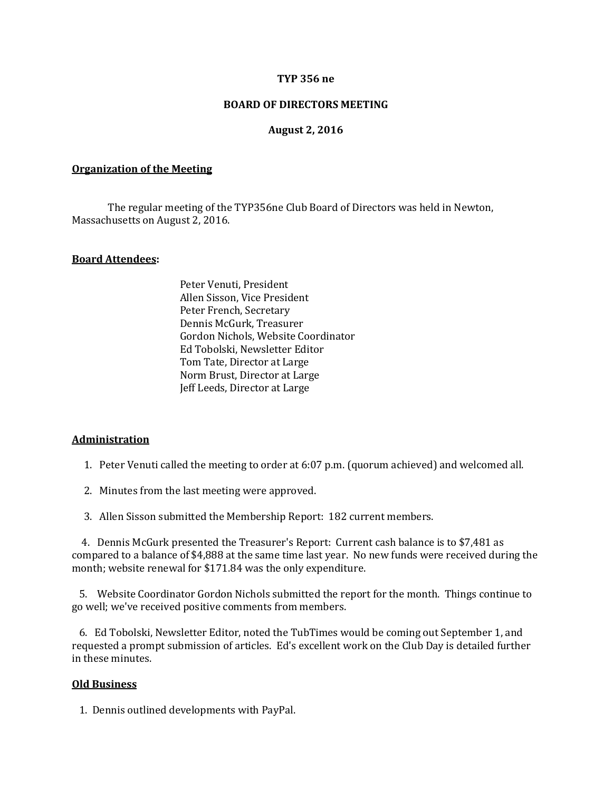### **TYP 356 ne**

## **BOARD OF DIRECTORS MEETING**

### **August 2, 2016**

### **Organization of the Meeting**

The regular meeting of the TYP356ne Club Board of Directors was held in Newton, Massachusetts on August 2, 2016.

### **Board Attendees:**

Peter Venuti, President Allen Sisson, Vice President Peter French, Secretary Dennis McGurk, Treasurer Gordon Nichols, Website Coordinator Ed Tobolski, Newsletter Editor Tom Tate, Director at Large Norm Brust, Director at Large Jeff Leeds, Director at Large

## **Administration**

- 1. Peter Venuti called the meeting to order at 6:07 p.m. (quorum achieved) and welcomed all.
- 2. Minutes from the last meeting were approved.
- 3. Allen Sisson submitted the Membership Report: 182 current members.

 4. Dennis McGurk presented the Treasurer's Report: Current cash balance is to \$7,481 as compared to a balance of \$4,888 at the same time last year. No new funds were received during the month; website renewal for \$171.84 was the only expenditure.

 5. Website Coordinator Gordon Nichols submitted the report for the month. Things continue to go well; we've received positive comments from members.

 6. Ed Tobolski, Newsletter Editor, noted the TubTimes would be coming out September 1, and requested a prompt submission of articles. Ed's excellent work on the Club Day is detailed further in these minutes.

### **Old Business**

1. Dennis outlined developments with PayPal.